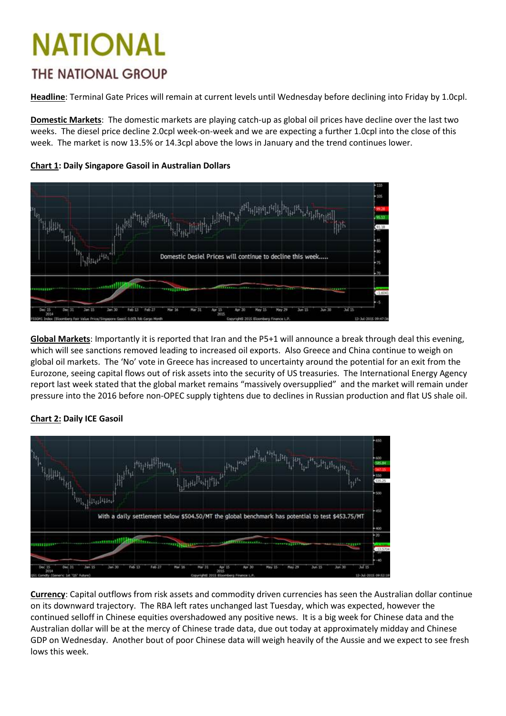## NATIONAL *THE NATIONAL GROUP*

**Headline**: Terminal Gate Prices will remain at current levels until Wednesday before declining into Friday by 1.0cpl.

**Domestic Markets**: The domestic markets are playing catch-up as global oil prices have decline over the last two weeks. The diesel price decline 2.0cpl week-on-week and we are expecting a further 1.0cpl into the close of this week. The market is now 13.5% or 14.3cpl above the lows in January and the trend continues lower.



**Chart 1: Daily Singapore Gasoil in Australian Dollars**

**Global Markets**: Importantly it is reported that Iran and the P5+1 will announce a break through deal this evening, which will see sanctions removed leading to increased oil exports. Also Greece and China continue to weigh on global oil markets. The 'No' vote in Greece has increased to uncertainty around the potential for an exit from the Eurozone, seeing capital flows out of risk assets into the security of US treasuries. The International Energy Agency report last week stated that the global market remains "massively oversupplied" and the market will remain under pressure into the 2016 before non-OPEC supply tightens due to declines in Russian production and flat US shale oil.



### **Chart 2: Daily ICE Gasoil**

**Currency**: Capital outflows from risk assets and commodity driven currencies has seen the Australian dollar continue on its downward trajectory. The RBA left rates unchanged last Tuesday, which was expected, however the continued selloff in Chinese equities overshadowed any positive news. It is a big week for Chinese data and the Australian dollar will be at the mercy of Chinese trade data, due out today at approximately midday and Chinese GDP on Wednesday. Another bout of poor Chinese data will weigh heavily of the Aussie and we expect to see fresh lows this week.